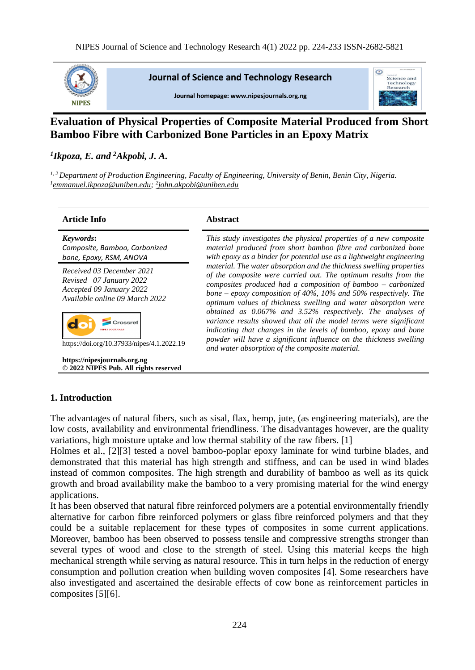

**Journal of Science and Technology Research** 

Journal homepage: www.nipesjournals.org.ng



# **Evaluation of Physical Properties of Composite Material Produced from Short Bamboo Fibre with Carbonized Bone Particles in an Epoxy Matrix**

# *1 Ikpoza, E. and <sup>2</sup>Akpobi, J. A.*

*1, 2 Department of Production Engineering, Faculty of Engineering, University of Benin, Benin City, Nigeria. 1 [emmanuel.ikpoza@uniben.edu;](mailto:emmanuel.ikpoza@uniben.edu) <sup>2</sup> [john.akpobi@uniben.edu](mailto:2john.akpobi@uniben.edu)*

#### **Article Info Abstract**

*This study investigates the physical properties of a new composite material produced from short bamboo fibre and carbonized bone with epoxy as a binder for potential use as a lightweight engineering material. The water absorption and the thickness swelling properties of the composite were carried out. The optimum results from the composites produced had a composition of bamboo – carbonized bone – epoxy composition of 40%, 10% and 50% respectively. The optimum values of thickness swelling and water absorption were obtained as 0.067% and 3.52% respectively. The analyses of variance results showed that all the model terms were significant indicating that changes in the levels of bamboo, epoxy and bone powder will have a significant influence on the thickness swelling* 

*and water absorption of the composite material.*

*Keywords***:** *Composite, Bamboo, Carbonized bone, Epoxy, RSM, ANOVA*

*Received 03 December 2021 Revised 07 January 2022 Accepted 09 January 2022 Available online 09 March 2022*



https://doi.org/10.37933/nipes/4.1.2022.19

**https://nipesjournals.org.ng © 2022 NIPES Pub. All rights reserved**

# **1. Introduction**

The advantages of natural fibers, such as sisal, flax, hemp, jute, (as engineering materials), are the low costs, availability and environmental friendliness. The disadvantages however, are the quality variations, high moisture uptake and low thermal stability of the raw fibers. [1]

Holmes et al., [2][3] tested a novel bamboo-poplar epoxy laminate for wind turbine blades, and demonstrated that this material has high strength and stiffness, and can be used in wind blades instead of common composites. The high strength and durability of bamboo as well as its quick growth and broad availability make the bamboo to a very promising material for the wind energy applications.

It has been observed that natural fibre reinforced polymers are a potential environmentally friendly alternative for carbon fibre reinforced polymers or glass fibre reinforced polymers and that they could be a suitable replacement for these types of composites in some current applications. Moreover, bamboo has been observed to possess tensile and compressive strengths stronger than several types of wood and close to the strength of steel. Using this material keeps the high mechanical strength while serving as natural resource. This in turn helps in the reduction of energy consumption and pollution creation when building woven composites [4]. Some researchers have also investigated and ascertained the desirable effects of cow bone as reinforcement particles in composites [5][6].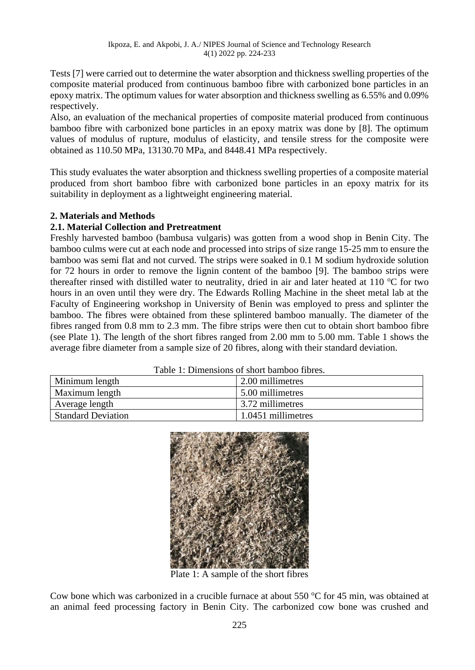Tests [7] were carried out to determine the water absorption and thickness swelling properties of the composite material produced from continuous bamboo fibre with carbonized bone particles in an epoxy matrix. The optimum values for water absorption and thickness swelling as 6.55% and 0.09% respectively.

Also, an evaluation of the mechanical properties of composite material produced from continuous bamboo fibre with carbonized bone particles in an epoxy matrix was done by [8]. The optimum values of modulus of rupture, modulus of elasticity, and tensile stress for the composite were obtained as 110.50 MPa, 13130.70 MPa, and 8448.41 MPa respectively.

This study evaluates the water absorption and thickness swelling properties of a composite material produced from short bamboo fibre with carbonized bone particles in an epoxy matrix for its suitability in deployment as a lightweight engineering material.

# **2. Materials and Methods**

# **2.1. Material Collection and Pretreatment**

Freshly harvested bamboo (bambusa vulgaris) was gotten from a wood shop in Benin City. The bamboo culms were cut at each node and processed into strips of size range 15-25 mm to ensure the bamboo was semi flat and not curved. The strips were soaked in 0.1 M sodium hydroxide solution for 72 hours in order to remove the lignin content of the bamboo [9]. The bamboo strips were thereafter rinsed with distilled water to neutrality, dried in air and later heated at  $110 \degree C$  for two hours in an oven until they were dry. The Edwards Rolling Machine in the sheet metal lab at the Faculty of Engineering workshop in University of Benin was employed to press and splinter the bamboo. The fibres were obtained from these splintered bamboo manually. The diameter of the fibres ranged from 0.8 mm to 2.3 mm. The fibre strips were then cut to obtain short bamboo fibre (see Plate 1). The length of the short fibres ranged from 2.00 mm to 5.00 mm. Table 1 shows the average fibre diameter from a sample size of 20 fibres, along with their standard deviation.

| Table 1: Dimensions of short bamboo fibres. |                    |  |
|---------------------------------------------|--------------------|--|
| Minimum length                              | 2.00 millimetres   |  |
| Maximum length                              | 5.00 millimetres   |  |
| Average length                              | 3.72 millimetres   |  |
| <b>Standard Deviation</b>                   | 1.0451 millimetres |  |



Plate 1: A sample of the short fibres

Cow bone which was carbonized in a crucible furnace at about 550  $\degree$ C for 45 min, was obtained at an animal feed processing factory in Benin City. The carbonized cow bone was crushed and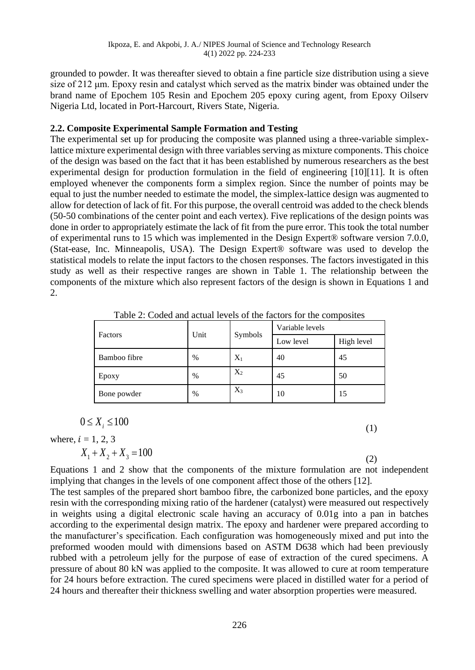grounded to powder. It was thereafter sieved to obtain a fine particle size distribution using a sieve size of 212 μm. Epoxy resin and catalyst which served as the matrix binder was obtained under the brand name of Epochem 105 Resin and Epochem 205 epoxy curing agent, from Epoxy Oilserv Nigeria Ltd, located in Port-Harcourt, Rivers State, Nigeria.

## **2.2. Composite Experimental Sample Formation and Testing**

The experimental set up for producing the composite was planned using a three-variable simplexlattice mixture experimental design with three variables serving as mixture components. This choice of the design was based on the fact that it has been established by numerous researchers as the best experimental design for production formulation in the field of engineering [10][11]. It is often employed whenever the components form a simplex region. Since the number of points may be equal to just the number needed to estimate the model, the simplex-lattice design was augmented to allow for detection of lack of fit. For this purpose, the overall centroid was added to the check blends (50-50 combinations of the center point and each vertex). Five replications of the design points was done in order to appropriately estimate the lack of fit from the pure error. This took the total number of experimental runs to 15 which was implemented in the Design Expert® software version 7.0.0, (Stat-ease, Inc. Minneapolis, USA). The Design Expert® software was used to develop the statistical models to relate the input factors to the chosen responses. The factors investigated in this study as well as their respective ranges are shown in Table 1. The relationship between the components of the mixture which also represent factors of the design is shown in Equations 1 and  $2<sub>1</sub>$ 

|              | Unit | Variable levels |           |            |
|--------------|------|-----------------|-----------|------------|
| Factors      |      | Symbols         | Low level | High level |
| Bamboo fibre | %    | $X_1$           | 40        | 45         |
| Epoxy        | $\%$ | $X_2$           | 45        | 50         |
| Bone powder  | $\%$ | $X_3$           | 10        | 15         |

Table 2: Coded and actual levels of the factors for the composites

| $0 \le X_i \le 100$ |  |
|---------------------|--|
|---------------------|--|

where,  $i = 1, 2, 3$ 

$$
X_1 + X_2 + X_3 = 100
$$

Equations 1 and 2 show that the components of the mixture formulation are not independent implying that changes in the levels of one component affect those of the others [12].

(1)

(2)

The test samples of the prepared short bamboo fibre, the carbonized bone particles, and the epoxy resin with the corresponding mixing ratio of the hardener (catalyst) were measured out respectively in weights using a digital electronic scale having an accuracy of 0.01g into a pan in batches according to the experimental design matrix. The epoxy and hardener were prepared according to the manufacturer's specification. Each configuration was homogeneously mixed and put into the preformed wooden mould with dimensions based on ASTM D638 which had been previously rubbed with a petroleum jelly for the purpose of ease of extraction of the cured specimens. A pressure of about 80 kN was applied to the composite. It was allowed to cure at room temperature for 24 hours before extraction. The cured specimens were placed in distilled water for a period of 24 hours and thereafter their thickness swelling and water absorption properties were measured.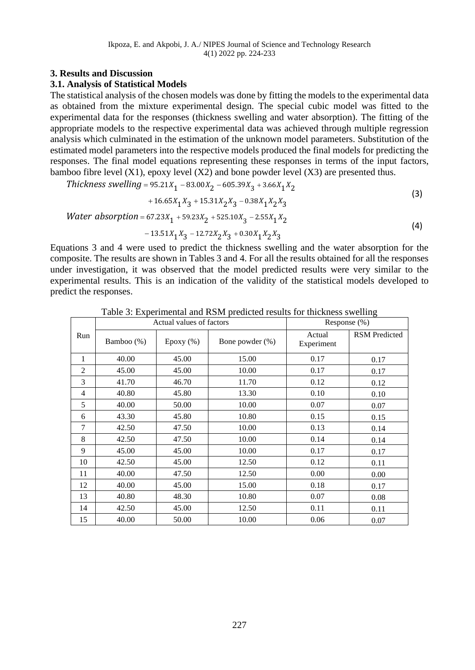#### **3. Results and Discussion**

#### **3.1. Analysis of Statistical Models**

The statistical analysis of the chosen models was done by fitting the models to the experimental data as obtained from the mixture experimental design. The special cubic model was fitted to the experimental data for the responses (thickness swelling and water absorption). The fitting of the appropriate models to the respective experimental data was achieved through multiple regression analysis which culminated in the estimation of the unknown model parameters. Substitution of the estimated model parameters into the respective models produced the final models for predicting the responses. The final model equations representing these responses in terms of the input factors, bamboo fibre level (X1), epoxy level (X2) and bone powder level (X3) are presented thus.<br> *Thickness swelling* =  $95.21X_1 - 83.00X_2 - 605.39X_3 + 3.66X_1X_2$ 

nickness *swelling* = 95.21
$$
X_1
$$
 – 83.00 $X_2$  – 605.39 $X_3$  + 3.66 $X_1X_2$  (3)

$$
1\text{ }n \text{ }c \text{ }k \text{ }n \text{ }c \text{ }s \text{ }m \text{ }s \text{ }m \text{ }g \text{ } = 95.21X_1 - 83.00X_2 - 605.39X_3 + 3.66X_1X_2 + 16.65X_1X_3 + 15.31X_2X_3 - 0.38X_1X_2X_3 \tag{3}
$$

(4)

$$
+16.65X_1X_3 + 15.31X_2X_3 - 0.38X_1X_2X_3
$$
  
Water absorption = 67.23X<sub>1</sub> + 59.23X<sub>2</sub> + 525.10X<sub>3</sub> - 2.55X<sub>1</sub>X<sub>2</sub>  
-13.51X<sub>1</sub>X<sub>3</sub> - 12.72X<sub>2</sub>X<sub>3</sub> + 0.30X<sub>1</sub>X<sub>2</sub>X<sub>3</sub>

$$
67.23X_1 + 59.23X_2 + 525.10X_3 - 2.55X_1X_2
$$
  
- 13.51X<sub>1</sub>X<sub>3</sub> - 12.72X<sub>2</sub>X<sub>3</sub> + 0.30X<sub>1</sub>X<sub>2</sub>X<sub>3</sub>

Equations 3 and 4 were used to predict the thickness swelling and the water absorption for the composite. The results are shown in Tables 3 and 4. For all the results obtained for all the responses under investigation, it was observed that the model predicted results were very similar to the experimental results. This is an indication of the validity of the statistical models developed to predict the responses.

|                | Actual values of factors |                 |                    | Response $(\%)$      |                      |
|----------------|--------------------------|-----------------|--------------------|----------------------|----------------------|
| Run            | Bamboo (%)               | $E$ poxy $(\%)$ | Bone powder $(\%)$ | Actual<br>Experiment | <b>RSM</b> Predicted |
| 1              | 40.00                    | 45.00           | 15.00              | 0.17                 | 0.17                 |
| $\overline{2}$ | 45.00                    | 45.00           | 10.00              | 0.17                 | 0.17                 |
| 3              | 41.70                    | 46.70           | 11.70              | 0.12                 | 0.12                 |
| 4              | 40.80                    | 45.80           | 13.30              | 0.10                 | 0.10                 |
| 5              | 40.00                    | 50.00           | 10.00              | 0.07                 | 0.07                 |
| 6              | 43.30                    | 45.80           | 10.80              | 0.15                 | 0.15                 |
| 7              | 42.50                    | 47.50           | 10.00              | 0.13                 | 0.14                 |
| 8              | 42.50                    | 47.50           | 10.00              | 0.14                 | 0.14                 |
| 9              | 45.00                    | 45.00           | 10.00              | 0.17                 | 0.17                 |
| 10             | 42.50                    | 45.00           | 12.50              | 0.12                 | 0.11                 |
| 11             | 40.00                    | 47.50           | 12.50              | 0.00                 | 0.00                 |
| 12             | 40.00                    | 45.00           | 15.00              | 0.18                 | 0.17                 |
| 13             | 40.80                    | 48.30           | 10.80              | 0.07                 | 0.08                 |
| 14             | 42.50                    | 45.00           | 12.50              | 0.11                 | 0.11                 |
| 15             | 40.00                    | 50.00           | 10.00              | 0.06                 | 0.07                 |

Table 3: Experimental and RSM predicted results for thickness swelling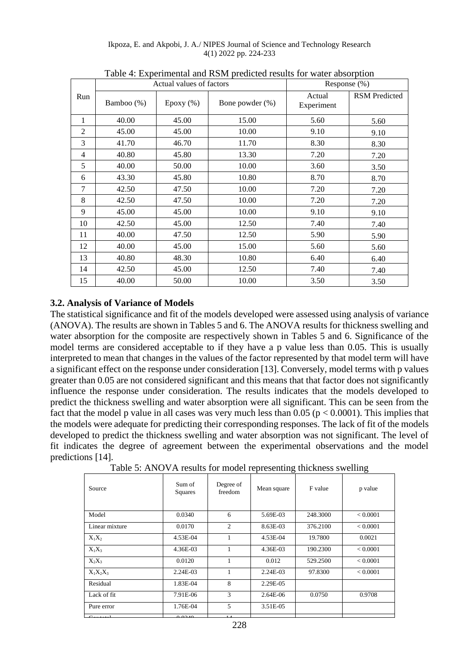Ikpoza, E. and Akpobi, J. A./ NIPES Journal of Science and Technology Research 4(1) 2022 pp. 224-233

|                | Actual values of factors |                 |                    |                      | Response (%)         |
|----------------|--------------------------|-----------------|--------------------|----------------------|----------------------|
| Run            | Bamboo (%)               | $E$ poxy $(\%)$ | Bone powder $(\%)$ | Actual<br>Experiment | <b>RSM</b> Predicted |
| 1              | 40.00                    | 45.00           | 15.00              | 5.60                 | 5.60                 |
| $\overline{2}$ | 45.00                    | 45.00           | 10.00              | 9.10                 | 9.10                 |
| 3              | 41.70                    | 46.70           | 11.70              | 8.30                 | 8.30                 |
| $\overline{4}$ | 40.80                    | 45.80           | 13.30              | 7.20                 | 7.20                 |
| 5              | 40.00                    | 50.00           | 10.00              | 3.60                 | 3.50                 |
| 6              | 43.30                    | 45.80           | 10.80              | 8.70                 | 8.70                 |
| $\overline{7}$ | 42.50                    | 47.50           | 10.00              | 7.20                 | 7.20                 |
| 8              | 42.50                    | 47.50           | 10.00              | 7.20                 | 7.20                 |
| 9              | 45.00                    | 45.00           | 10.00              | 9.10                 | 9.10                 |
| 10             | 42.50                    | 45.00           | 12.50              | 7.40                 | 7.40                 |
| 11             | 40.00                    | 47.50           | 12.50              | 5.90                 | 5.90                 |
| 12             | 40.00                    | 45.00           | 15.00              | 5.60                 | 5.60                 |
| 13             | 40.80                    | 48.30           | 10.80              | 6.40                 | 6.40                 |
| 14             | 42.50                    | 45.00           | 12.50              | 7.40                 | 7.40                 |
| 15             | 40.00                    | 50.00           | 10.00              | 3.50                 | 3.50                 |

Table 4: Experimental and RSM predicted results for water absorption

## **3.2. Analysis of Variance of Models**

The statistical significance and fit of the models developed were assessed using analysis of variance (ANOVA). The results are shown in Tables 5 and 6. The ANOVA results for thickness swelling and water absorption for the composite are respectively shown in Tables 5 and 6. Significance of the model terms are considered acceptable to if they have a p value less than 0.05. This is usually interpreted to mean that changes in the values of the factor represented by that model term will have a significant effect on the response under consideration [13]. Conversely, model terms with p values greater than 0.05 are not considered significant and this means that that factor does not significantly influence the response under consideration. The results indicates that the models developed to predict the thickness swelling and water absorption were all significant. This can be seen from the fact that the model p value in all cases was very much less than  $0.05$  ( $p < 0.0001$ ). This implies that the models were adequate for predicting their corresponding responses. The lack of fit of the models developed to predict the thickness swelling and water absorption was not significant. The level of fit indicates the degree of agreement between the experimental observations and the model predictions [14].

| Source         | Sum of<br>Squares | Degree of<br>freedom | Mean square | F value  | p value  |
|----------------|-------------------|----------------------|-------------|----------|----------|
| Model          | 0.0340            | 6                    | 5.69E-03    | 248.3000 | < 0.0001 |
| Linear mixture | 0.0170            | $\overline{c}$       | 8.63E-03    | 376.2100 | < 0.0001 |
| $X_1X_2$       | 4.53E-04          |                      | 4.53E-04    | 19.7800  | 0.0021   |
| $X_1X_3$       | 4.36E-03          | 1                    | 4.36E-03    | 190.2300 | < 0.0001 |
| $X_2X_3$       | 0.0120            | 1                    | 0.012       | 529.2500 | < 0.0001 |
| $X_1X_2X_3$    | 2.24E-03          | 1                    | 2.24E-03    | 97.8300  | < 0.0001 |
| Residual       | 1.83E-04          | 8                    | 2.29E-05    |          |          |
| Lack of fit    | 7.91E-06          | 3                    | 2.64E-06    | 0.0750   | 0.9708   |
| Pure error     | 1.76E-04          | 5                    | 3.51E-05    |          |          |
| $\sim$         | 0.0210            | 1A                   |             |          |          |

Table 5: ANOVA results for model representing thickness swelling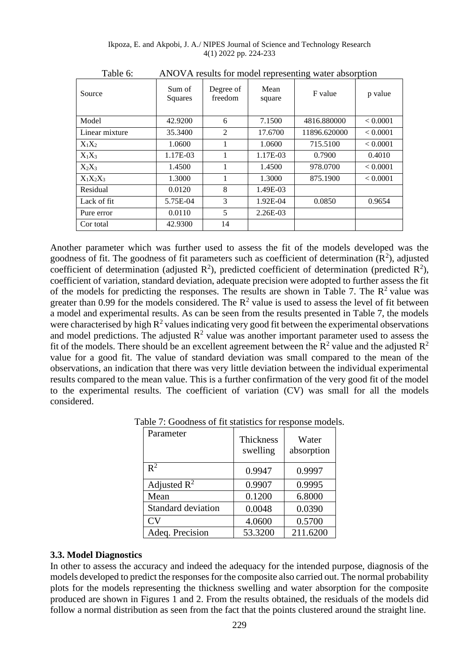| Ikpoza, E. and Akpobi, J. A./ NIPES Journal of Science and Technology Research |
|--------------------------------------------------------------------------------|
| $4(1)$ 2022 pp. 224-233                                                        |

| raoiv v.       |                   |                      |                |              |          |
|----------------|-------------------|----------------------|----------------|--------------|----------|
| Source         | Sum of<br>Squares | Degree of<br>freedom | Mean<br>square | F value      | p value  |
| Model          | 42.9200           | 6                    | 7.1500         | 4816.880000  | < 0.0001 |
| Linear mixture | 35.3400           | $\overline{2}$       | 17.6700        | 11896.620000 | < 0.0001 |
| $X_1X_2$       | 1.0600            | 1                    | 1.0600         | 715.5100     | < 0.0001 |
| $X_1X_3$       | 1.17E-03          | 1                    | 1.17E-03       | 0.7900       | 0.4010   |
| $X_2X_3$       | 1.4500            | 1                    | 1.4500         | 978.0700     | < 0.0001 |
| $X_1X_2X_3$    | 1.3000            | 1                    | 1.3000         | 875.1900     | < 0.0001 |
| Residual       | 0.0120            | 8                    | 1.49E-03       |              |          |
| Lack of fit.   | 5.75E-04          | 3                    | 1.92E-04       | 0.0850       | 0.9654   |
| Pure error     | 0.0110            | 5                    | $2.26E-03$     |              |          |
| Cor total      | 42.9300           | 14                   |                |              |          |

Table 6: ANOVA results for model representing water absorption

Another parameter which was further used to assess the fit of the models developed was the goodness of fit. The goodness of fit parameters such as coefficient of determination  $(R^2)$ , adjusted coefficient of determination (adjusted  $\mathbb{R}^2$ ), predicted coefficient of determination (predicted  $\mathbb{R}^2$ ), coefficient of variation, standard deviation, adequate precision were adopted to further assess the fit of the models for predicting the responses. The results are shown in Table 7. The  $\mathbb{R}^2$  value was greater than 0.99 for the models considered. The  $R^2$  value is used to assess the level of fit between a model and experimental results. As can be seen from the results presented in Table 7, the models were characterised by high  $R^2$  values indicating very good fit between the experimental observations and model predictions. The adjusted  $\mathbb{R}^2$  value was another important parameter used to assess the fit of the models. There should be an excellent agreement between the  $\mathbb{R}^2$  value and the adjusted  $\mathbb{R}^2$ value for a good fit. The value of standard deviation was small compared to the mean of the observations, an indication that there was very little deviation between the individual experimental results compared to the mean value. This is a further confirmation of the very good fit of the model to the experimental results. The coefficient of variation (CV) was small for all the models considered.

| Parameter               | <b>Thickness</b><br>swelling | Water<br>absorption |
|-------------------------|------------------------------|---------------------|
| $\mathbb{R}^2$          | 0.9947                       | 0.9997              |
| Adjusted $\mathbb{R}^2$ | 0.9907                       | 0.9995              |
| Mean                    | 0.1200                       | 6.8000              |
| Standard deviation      | 0.0048                       | 0.0390              |
| CV                      | 4.0600                       | 0.5700              |
| Adeq. Precision         | 53.3200                      | 211.6200            |

Table 7: Goodness of fit statistics for response models.

### **3.3. Model Diagnostics**

In other to assess the accuracy and indeed the adequacy for the intended purpose, diagnosis of the models developed to predict the responses for the composite also carried out. The normal probability plots for the models representing the thickness swelling and water absorption for the composite produced are shown in Figures 1 and 2. From the results obtained, the residuals of the models did follow a normal distribution as seen from the fact that the points clustered around the straight line.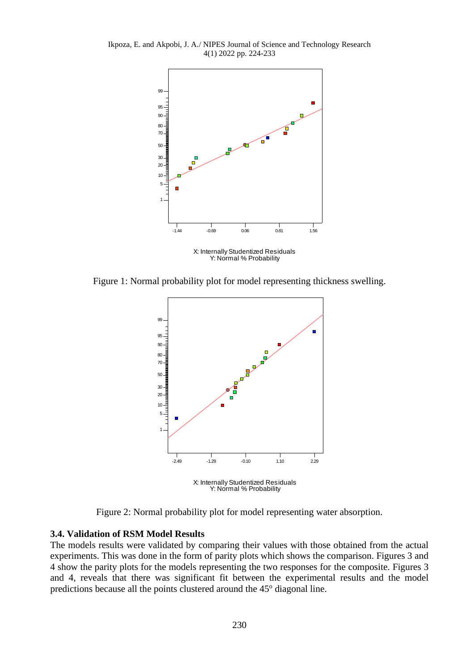Ikpoza, E. and Akpobi, J. A./ NIPES Journal of Science and Technology Research 4(1) 2022 pp. 224-233



Y: Normal % Probability

Figure 1: Normal probability plot for model representing thickness swelling.



Figure 2: Normal probability plot for model representing water absorption.

#### **3.4. Validation of RSM Model Results**

The models results were validated by comparing their values with those obtained from the actual experiments. This was done in the form of parity plots which shows the comparison. Figures 3 and 4 show the parity plots for the models representing the two responses for the composite. Figures 3 and 4, reveals that there was significant fit between the experimental results and the model predictions because all the points clustered around the 45° diagonal line.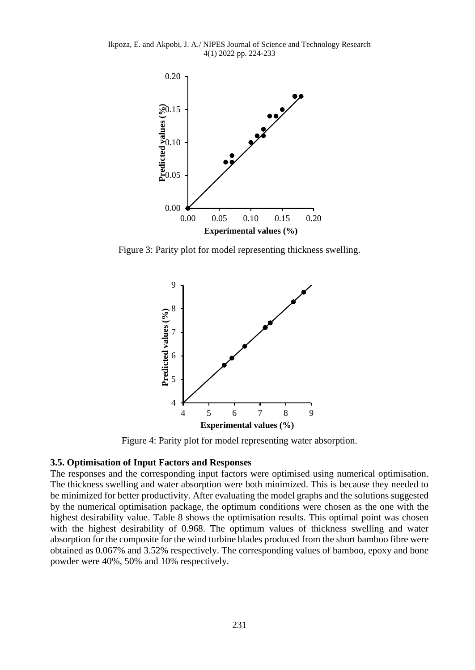Ikpoza, E. and Akpobi, J. A./ NIPES Journal of Science and Technology Research 4(1) 2022 pp. 224-233



Figure 3: Parity plot for model representing thickness swelling.



Figure 4: Parity plot for model representing water absorption.

### **3.5. Optimisation of Input Factors and Responses**

The responses and the corresponding input factors were optimised using numerical optimisation. The thickness swelling and water absorption were both minimized. This is because they needed to be minimized for better productivity. After evaluating the model graphs and the solutions suggested by the numerical optimisation package, the optimum conditions were chosen as the one with the highest desirability value. Table 8 shows the optimisation results. This optimal point was chosen with the highest desirability of 0.968. The optimum values of thickness swelling and water absorption for the composite for the wind turbine blades produced from the short bamboo fibre were obtained as 0.067% and 3.52% respectively. The corresponding values of bamboo, epoxy and bone powder were 40%, 50% and 10% respectively.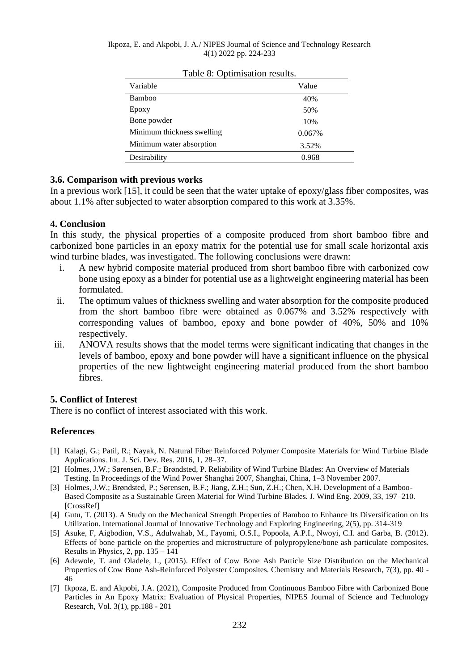| Ikpoza, E. and Akpobi, J. A./ NIPES Journal of Science and Technology Research |                         |  |  |
|--------------------------------------------------------------------------------|-------------------------|--|--|
|                                                                                | $4(1)$ 2022 pp. 224-233 |  |  |

| Variable                   | Value  |
|----------------------------|--------|
| Bamboo                     | 40%    |
| Epoxy                      | 50%    |
| Bone powder                | 10%    |
| Minimum thickness swelling | 0.067% |
| Minimum water absorption   | 3.52%  |
| Desirability               | 0.968  |
|                            |        |

Table 8: Optimisation results.

#### **3.6. Comparison with previous works**

In a previous work [15], it could be seen that the water uptake of epoxy/glass fiber composites, was about 1.1% after subjected to water absorption compared to this work at 3.35%.

### **4. Conclusion**

In this study, the physical properties of a composite produced from short bamboo fibre and carbonized bone particles in an epoxy matrix for the potential use for small scale horizontal axis wind turbine blades, was investigated. The following conclusions were drawn:

- i. A new hybrid composite material produced from short bamboo fibre with carbonized cow bone using epoxy as a binder for potential use as a lightweight engineering material has been formulated.
- ii. The optimum values of thickness swelling and water absorption for the composite produced from the short bamboo fibre were obtained as 0.067% and 3.52% respectively with corresponding values of bamboo, epoxy and bone powder of 40%, 50% and 10% respectively.
- iii. ANOVA results shows that the model terms were significant indicating that changes in the levels of bamboo, epoxy and bone powder will have a significant influence on the physical properties of the new lightweight engineering material produced from the short bamboo fibres.

### **5. Conflict of Interest**

There is no conflict of interest associated with this work.

### **References**

- [1] Kalagi, G.; Patil, R.; Nayak, N. Natural Fiber Reinforced Polymer Composite Materials for Wind Turbine Blade Applications. Int. J. Sci. Dev. Res. 2016, 1, 28–37.
- [2] Holmes, J.W.; Sørensen, B.F.; Brøndsted, P. Reliability of Wind Turbine Blades: An Overview of Materials Testing. In Proceedings of the Wind Power Shanghai 2007, Shanghai, China, 1–3 November 2007.
- [3] Holmes, J.W.; Brøndsted, P.; Sørensen, B.F.; Jiang, Z.H.; Sun, Z.H.; Chen, X.H. Development of a Bamboo-Based Composite as a Sustainable Green Material for Wind Turbine Blades. J. Wind Eng. 2009, 33, 197–210. [CrossRef]
- [4] Gutu, T. (2013). A Study on the Mechanical Strength Properties of Bamboo to Enhance Its Diversification on Its Utilization. International Journal of Innovative Technology and Exploring Engineering, 2(5), pp. 314-319
- [5] Asuke, F, Aigbodion, V.S., Adulwahab, M., Fayomi, O.S.I., Popoola, A.P.I., Nwoyi, C.I. and Garba, B. (2012). Effects of bone particle on the properties and microstructure of polypropylene/bone ash particulate composites. Results in Physics, 2, pp.  $135 - 141$
- [6] Adewole, T. and Oladele, I., (2015). Effect of Cow Bone Ash Particle Size Distribution on the Mechanical Properties of Cow Bone Ash-Reinforced Polyester Composites. Chemistry and Materials Research, 7(3), pp. 40 - 46
- [7] Ikpoza, E. and Akpobi, J.A. (2021), Composite Produced from Continuous Bamboo Fibre with Carbonized Bone Particles in An Epoxy Matrix: Evaluation of Physical Properties, NIPES Journal of Science and Technology Research, Vol. 3(1), pp.188 - 201